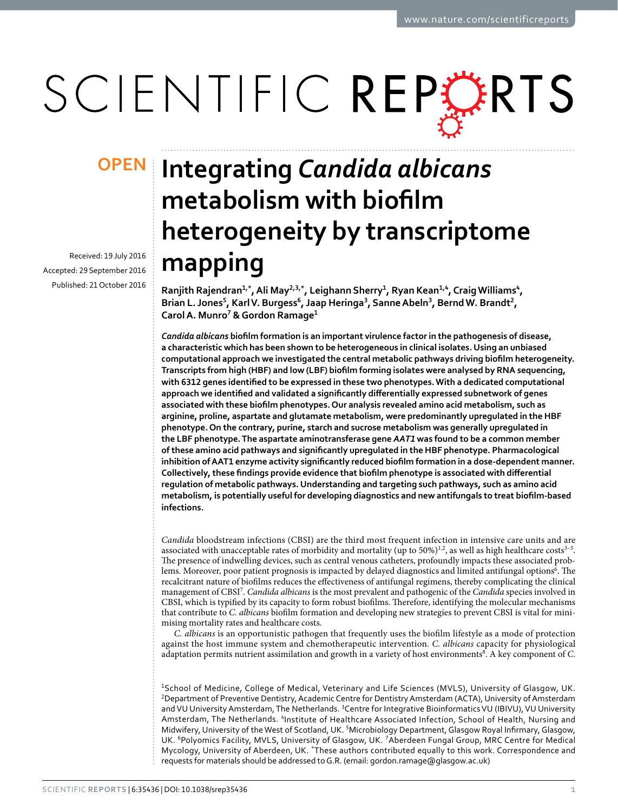# SCIENTIFIC REPERTS

Received: 19 July 2016 accepted: 29 September 2016 Published: 21 October 2016

## **Integrating** *Candida albicans* **OPENmetabolism with biofilm heterogeneity by transcriptome mapping**

**Ranjith Rajendran<sup>1</sup>,\*, Ali May<sup>2</sup>,3,\*, Leighann Sherry<sup>1</sup>, Ryan Kean<sup>1</sup>,<sup>4</sup>, CraigWilliams<sup>4</sup>, Brian L. Jones<sup>5</sup>, Karl V. Burgess<sup>6</sup>, Jaap Heringa<sup>3</sup>, SanneAbeln<sup>3</sup>, BerndW. Brandt<sup>2</sup>, Carol A. Munro<sup>7</sup> & Gordon Ramage<sup>1</sup>**

*Candida albicans* **biofilm formation is an important virulence factor in the pathogenesis of disease, a characteristic which has been shown to be heterogeneous in clinical isolates. Using an unbiased computational approach we investigated the central metabolic pathways driving biofilm heterogeneity. Transcripts from high (HBF) and low (LBF) biofilm forming isolates were analysed by RNA sequencing, with 6312 genes identified to be expressed in these two phenotypes. With a dedicated computational approach we identified and validated a significantly differentially expressed subnetwork of genes associated with these biofilm phenotypes. Our analysis revealed amino acid metabolism, such as arginine, proline, aspartate and glutamate metabolism, were predominantly upregulated in the HBF phenotype. On the contrary, purine, starch and sucrose metabolism was generally upregulated in the LBF phenotype. The aspartate aminotransferase gene** *AAT1* **was found to be a common member of these amino acid pathways and significantly upregulated in the HBF phenotype. Pharmacological inhibition of AAT1 enzyme activity significantly reduced biofilm formation in a dose-dependent manner. Collectively, these findings provide evidence that biofilm phenotype is associated with differential regulation of metabolic pathways. Understanding and targeting such pathways, such as amino acid metabolism, is potentially useful for developing diagnostics and new antifungals to treat biofilm-based infections.**

*Candida* bloodstream infections (CBSI) are the third most frequent infection in intensive care units and are associated with unacceptable rates of morbidity and mortality (up to 50%)<sup>1[,2](#page-8-1)</sup>, as well as high healthcare costs<sup>3-5</sup>. The presence of indwelling devices, such as central venous catheters, profoundly impacts these associated problems. Moreover, poor patient prognosis is impacted by delayed diagnostics and limited antifungal options<sup>6</sup>. The recalcitrant nature of biofilms reduces the effectiveness of antifungal regimens, thereby complicating the clinical management of CBS[I7](#page-8-4) . *Candida albicans* is the most prevalent and pathogenic of the *Candida* species involved in CBSI, which is typified by its capacity to form robust biofilms. Therefore, identifying the molecular mechanisms that contribute to *C. albicans* biofilm formation and developing new strategies to prevent CBSI is vital for minimising mortality rates and healthcare costs.

*C. albicans* is an opportunistic pathogen that frequently uses the biofilm lifestyle as a mode of protection against the host immune system and chemotherapeutic intervention. *C. albicans* capacity for physiological adaptation permits nutrient assimilation and growth in a variety of host environments<sup>[8](#page-8-5)</sup>. A key component of *C*.

<sup>1</sup>School of Medicine, College of Medical, Veterinary and Life Sciences (MVLS), University of Glasgow, UK. 2 Department of Preventive Dentistry, Academic Centre for Dentistry Amsterdam (ACTA), University of Amsterdam and VU University Amsterdam, The Netherlands. <sup>3</sup>Centre for Integrative Bioinformatics VU (IBIVU), VU University Amsterdam, The Netherlands. <sup>4</sup>Institute of Healthcare Associated Infection, School of Health, Nursing and Midwifery, University of the West of Scotland, UK. <sup>5</sup>Microbiology Department, Glasgow Royal Infirmary, Glasgow, UK. <sup>6</sup>Polyomics Facility, MVLS, University of Glasgow, UK. <sup>7</sup>Aberdeen Fungal Group, MRC Centre for Medical Mycology, University of Aberdeen, UK. \*These authors contributed equally to this work. Correspondence and requests for materials should be addressed to G.R. (email: [gordon.ramage@glasgow.ac.uk\)](mailto:gordon.ramage@glasgow.ac.uk)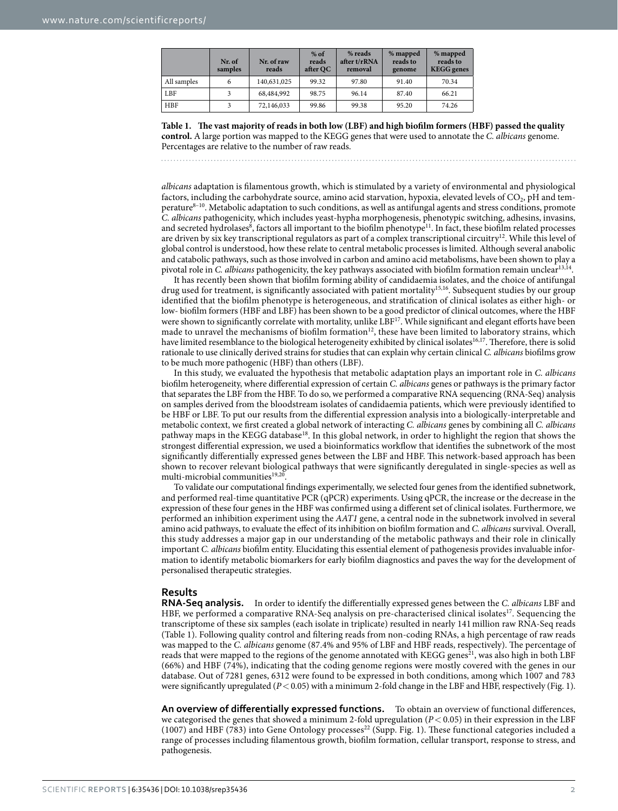<span id="page-1-0"></span>

|             | Nr. of<br>samples | Nr. of raw<br>reads | $%$ of<br>reads<br>after QC | % reads<br>after t/rRNA<br>removal | % mapped<br>reads to<br>genome | % mapped<br>reads to<br><b>KEGG</b> genes |
|-------------|-------------------|---------------------|-----------------------------|------------------------------------|--------------------------------|-------------------------------------------|
| All samples | 6                 | 140,631,025         | 99.32                       | 97.80                              | 91.40                          | 70.34                                     |
| LBF         |                   | 68,484,992          | 98.75                       | 96.14                              | 87.40                          | 66.21                                     |
| <b>HBF</b>  |                   | 72,146,033          | 99.86                       | 99.38                              | 95.20                          | 74.26                                     |

**Table 1. The vast majority of reads in both low (LBF) and high biofilm formers (HBF) passed the quality control.** A large portion was mapped to the KEGG genes that were used to annotate the *C. albicans* genome. Percentages are relative to the number of raw reads.

*albicans* adaptation is filamentous growth, which is stimulated by a variety of environmental and physiological factors, including the carbohydrate source, amino acid starvation, hypoxia, elevated levels of CO<sub>2</sub>, pH and tem-perature<sup>[8–10](#page-8-5)</sup>. Metabolic adaptation to such conditions, as well as antifungal agents and stress conditions, promote *C. albicans* pathogenicity, which includes yeast-hypha morphogenesis, phenotypic switching, adhesins, invasins, and secreted hydrolases<sup>8</sup>, factors all important to the biofilm phenotype<sup>11</sup>. In fact, these biofilm related processes are driven by six key transcriptional regulators as part of a complex transcriptional circuitry<sup>12</sup>. While this level of global control is understood, how these relate to central metabolic processes is limited. Although several anabolic and catabolic pathways, such as those involved in carbon and amino acid metabolisms, have been shown to play a pivotal role in *C. albicans* pathogenicity, the key pathways associated with biofilm formation remain unclear<sup>13,14</sup>.

It has recently been shown that biofilm forming ability of candidaemia isolates, and the choice of antifungal drug used for treatment, is significantly associated with patient mortality<sup>15,[16](#page-9-5)</sup>. Subsequent studies by our group identified that the biofilm phenotype is heterogeneous, and stratification of clinical isolates as either high- or low- biofilm formers (HBF and LBF) has been shown to be a good predictor of clinical outcomes, where the HBF were shown to significantly correlate with mortality, unlike LBF<sup>17</sup>. While significant and elegant efforts have been made to unravel the mechanisms of biofilm formation<sup>[12](#page-9-1)</sup>, these have been limited to laboratory strains, which have limited resemblance to the biological heterogeneity exhibited by clinical isolates<sup>16,17</sup>. Therefore, there is solid rationale to use clinically derived strains for studies that can explain why certain clinical *C. albicans* biofilms grow to be much more pathogenic (HBF) than others (LBF).

In this study, we evaluated the hypothesis that metabolic adaptation plays an important role in *C. albicans* biofilm heterogeneity, where differential expression of certain *C. albicans* genes or pathways is the primary factor that separates the LBF from the HBF. To do so, we performed a comparative RNA sequencing (RNA-Seq) analysis on samples derived from the bloodstream isolates of candidaemia patients, which were previously identified to be HBF or LBF. To put our results from the differential expression analysis into a biologically-interpretable and metabolic context, we first created a global network of interacting *C. albicans* genes by combining all *C. albicans* pathway maps in the KEGG databas[e18.](#page-9-7) In this global network, in order to highlight the region that shows the strongest differential expression, we used a bioinformatics workflow that identifies the subnetwork of the most significantly differentially expressed genes between the LBF and HBF. This network-based approach has been shown to recover relevant biological pathways that were significantly deregulated in single-species as well as multi-microbial communities<sup>[19](#page-9-8),[20](#page-9-9)</sup>

To validate our computational findings experimentally, we selected four genes from the identified subnetwork, and performed real-time quantitative PCR (qPCR) experiments. Using qPCR, the increase or the decrease in the expression of these four genes in the HBF was confirmed using a different set of clinical isolates. Furthermore, we performed an inhibition experiment using the *AAT1* gene, a central node in the subnetwork involved in several amino acid pathways, to evaluate the effect of its inhibition on biofilm formation and *C. albicans* survival. Overall, this study addresses a major gap in our understanding of the metabolic pathways and their role in clinically important *C. albicans* biofilm entity. Elucidating this essential element of pathogenesis provides invaluable information to identify metabolic biomarkers for early biofilm diagnostics and paves the way for the development of personalised therapeutic strategies.

#### **Results**

**RNA-Seq analysis.** In order to identify the differentially expressed genes between the *C. albicans* LBF and HBF, we performed a comparative RNA-Seq analysis on pre-characterised clinical isolates<sup>17</sup>. Sequencing the transcriptome of these six samples (each isolate in triplicate) resulted in nearly 141 million raw RNA-Seq reads ([Table 1\)](#page-1-0). Following quality control and filtering reads from non-coding RNAs, a high percentage of raw reads was mapped to the *C. albicans* genome (87.4% and 95% of LBF and HBF reads, respectively). The percentage of reads that were mapped to the regions of the genome annotated with KEGG genes<sup>21</sup>, was also high in both LBF (66%) and HBF (74%), indicating that the coding genome regions were mostly covered with the genes in our database. Out of 7281 genes, 6312 were found to be expressed in both conditions, among which 1007 and 783 were significantly upregulated (*P*< 0.05) with a minimum 2-fold change in the LBF and HBF, respectively [\(Fig. 1\)](#page-2-0).

**An overview of differentially expressed functions.** To obtain an overview of functional differences, we categorised the genes that showed a minimum 2-fold upregulation (*P*< 0.05) in their expression in the LBF (1007) and HBF (783) into Gene Ontology processes<sup>22</sup> (Supp. Fig. 1). These functional categories included a range of processes including filamentous growth, biofilm formation, cellular transport, response to stress, and pathogenesis.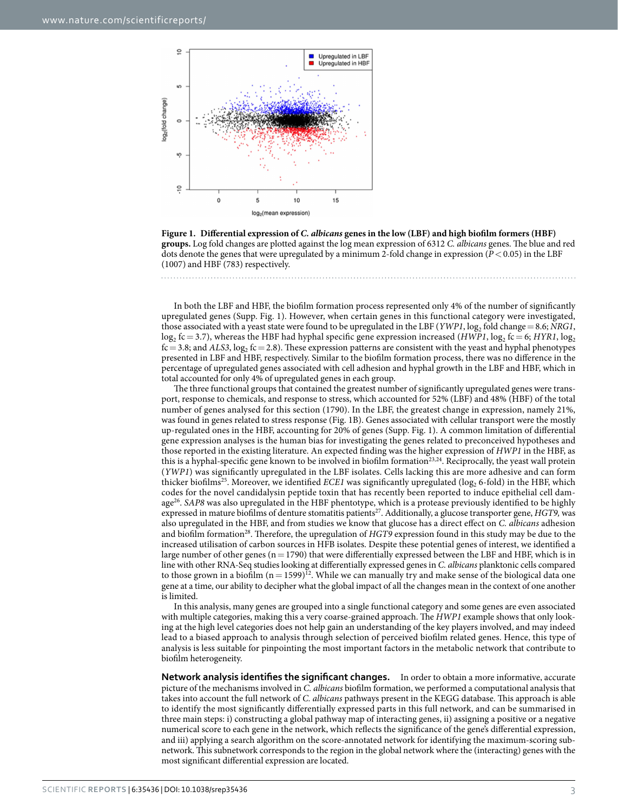

<span id="page-2-0"></span>

In both the LBF and HBF, the biofilm formation process represented only 4% of the number of significantly upregulated genes (Supp. Fig. 1). However, when certain genes in this functional category were investigated, those associated with a yeast state were found to be upregulated in the LBF (*YWP1*,  $log_2$  fold change = 8.6; *NRG1*,  $\log_2$  fc = 3.7), whereas the HBF had hyphal specific gene expression increased (*HWP1*,  $\log_2$  fc = 6; *HYR1*,  $\log_2$  $f_c$  = 3.8; and *ALS3*,  $log_2 f_c$  = 2.8). These expression patterns are consistent with the yeast and hyphal phenotypes presented in LBF and HBF, respectively. Similar to the biofilm formation process, there was no difference in the percentage of upregulated genes associated with cell adhesion and hyphal growth in the LBF and HBF, which in total accounted for only 4% of upregulated genes in each group.

The three functional groups that contained the greatest number of significantly upregulated genes were transport, response to chemicals, and response to stress, which accounted for 52% (LBF) and 48% (HBF) of the total number of genes analysed for this section (1790). In the LBF, the greatest change in expression, namely 21%, was found in genes related to stress response [\(Fig. 1B](#page-2-0)). Genes associated with cellular transport were the mostly up-regulated ones in the HBF, accounting for 20% of genes (Supp. Fig. 1). A common limitation of differential gene expression analyses is the human bias for investigating the genes related to preconceived hypotheses and those reported in the existing literature. An expected finding was the higher expression of *HWP1* in the HBF, as this is a hyphal-specific gene known to be involved in biofilm formation<sup>23,24</sup>. Reciprocally, the yeast wall protein (*YWP1*) was significantly upregulated in the LBF isolates. Cells lacking this are more adhesive and can form thicker biofilms<sup>25</sup>. Moreover, we identified *ECE1* was significantly upregulated (log<sub>2</sub> 6-fold) in the HBF, which codes for the novel candidalysin peptide toxin that has recently been reported to induce epithelial cell dam-age<sup>[26](#page-9-15)</sup>. SAP8 was also upregulated in the HBF phentotype, which is a protease previously identified to be highly expressed in mature biofilms of denture stomatitis patients<sup>[27](#page-9-16)</sup>. Additionally, a glucose transporter gene, *HGT9*, was also upregulated in the HBF, and from studies we know that glucose has a direct effect on *C. albicans* adhesion and biofilm formation[28](#page-9-17). Therefore, the upregulation of *HGT9* expression found in this study may be due to the increased utilisation of carbon sources in HFB isolates. Despite these potential genes of interest, we identified a large number of other genes ( $n= 1790$ ) that were differentially expressed between the LBF and HBF, which is in line with other RNA-Seq studies looking at differentially expressed genes in *C. albicans* planktonic cells compared to those grown in a biofilm  $(n= 1599)^{12}$ . While we can manually try and make sense of the biological data one gene at a time, our ability to decipher what the global impact of all the changes mean in the context of one another is limited.

In this analysis, many genes are grouped into a single functional category and some genes are even associated with multiple categories, making this a very coarse-grained approach. The *HWP1* example shows that only looking at the high level categories does not help gain an understanding of the key players involved, and may indeed lead to a biased approach to analysis through selection of perceived biofilm related genes. Hence, this type of analysis is less suitable for pinpointing the most important factors in the metabolic network that contribute to biofilm heterogeneity.

**Network analysis identifies the significant changes.** In order to obtain a more informative, accurate picture of the mechanisms involved in *C. albicans* biofilm formation, we performed a computational analysis that takes into account the full network of *C. albicans* pathways present in the KEGG database. This approach is able to identify the most significantly differentially expressed parts in this full network, and can be summarised in three main steps: i) constructing a global pathway map of interacting genes, ii) assigning a positive or a negative numerical score to each gene in the network, which reflects the significance of the gene's differential expression, and iii) applying a search algorithm on the score-annotated network for identifying the maximum-scoring subnetwork. This subnetwork corresponds to the region in the global network where the (interacting) genes with the most significant differential expression are located.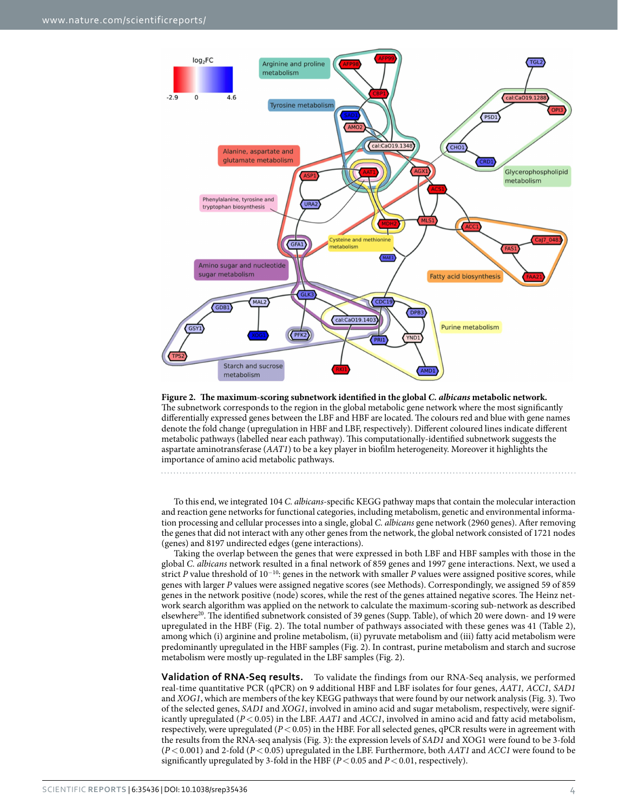

<span id="page-3-0"></span>**Figure 2. The maximum-scoring subnetwork identified in the global** *C. albicans* **metabolic network.**  The subnetwork corresponds to the region in the global metabolic gene network where the most significantly differentially expressed genes between the LBF and HBF are located. The colours red and blue with gene names denote the fold change (upregulation in HBF and LBF, respectively). Different coloured lines indicate different metabolic pathways (labelled near each pathway). This computationally-identified subnetwork suggests the aspartate aminotransferase (*AAT1*) to be a key player in biofilm heterogeneity. Moreover it highlights the importance of amino acid metabolic pathways.

To this end, we integrated 104 *C. albicans*-specific KEGG pathway maps that contain the molecular interaction and reaction gene networks for functional categories, including metabolism, genetic and environmental information processing and cellular processes into a single, global *C. albicans* gene network (2960 genes). After removing the genes that did not interact with any other genes from the network, the global network consisted of 1721 nodes (genes) and 8197 undirected edges (gene interactions).

Taking the overlap between the genes that were expressed in both LBF and HBF samples with those in the global *C. albicans* network resulted in a final network of 859 genes and 1997 gene interactions. Next, we used a strict *P* value threshold of 10<sup>-10</sup>: genes in the network with smaller *P* values were assigned positive scores, while genes with larger *P* values were assigned negative scores (see Methods). Correspondingly, we assigned 59 of 859 genes in the network positive (node) scores, while the rest of the genes attained negative scores. The Heinz network search algorithm was applied on the network to calculate the maximum-scoring sub-network as described elsewhere<sup>[20](#page-9-9)</sup>. The identified subnetwork consisted of 39 genes (Supp. Table), of which 20 were down- and 19 were upregulated in the HBF [\(Fig. 2](#page-3-0)). The total number of pathways associated with these genes was 41 ([Table 2](#page-4-0)), among which (i) arginine and proline metabolism, (ii) pyruvate metabolism and (iii) fatty acid metabolism were predominantly upregulated in the HBF samples ([Fig. 2\)](#page-3-0). In contrast, purine metabolism and starch and sucrose metabolism were mostly up-regulated in the LBF samples [\(Fig. 2\)](#page-3-0).

**Validation of RNA-Seq results.** To validate the findings from our RNA-Seq analysis, we performed real-time quantitative PCR (qPCR) on 9 additional HBF and LBF isolates for four genes, *AAT1, ACC1, SAD1* and *XOG1*, which are members of the key KEGG pathways that were found by our network analysis ([Fig. 3](#page-5-0)). Two of the selected genes, *SAD1* and *XOG1*, involved in amino acid and sugar metabolism, respectively, were significantly upregulated (*P*< 0.05) in the LBF. *AAT1* and *ACC1*, involved in amino acid and fatty acid metabolism, respectively, were upregulated  $(P<0.05)$  in the HBF. For all selected genes, qPCR results were in agreement with the results from the RNA-seq analysis ([Fig. 3\)](#page-5-0): the expression levels of *SAD1* and XOG1 were found to be 3-fold (*P*< 0.001) and 2-fold (*P*< 0.05) upregulated in the LBF. Furthermore, both *AAT1* and *ACC1* were found to be significantly upregulated by 3-fold in the HBF ( $P < 0.05$  and  $P < 0.01$ , respectively).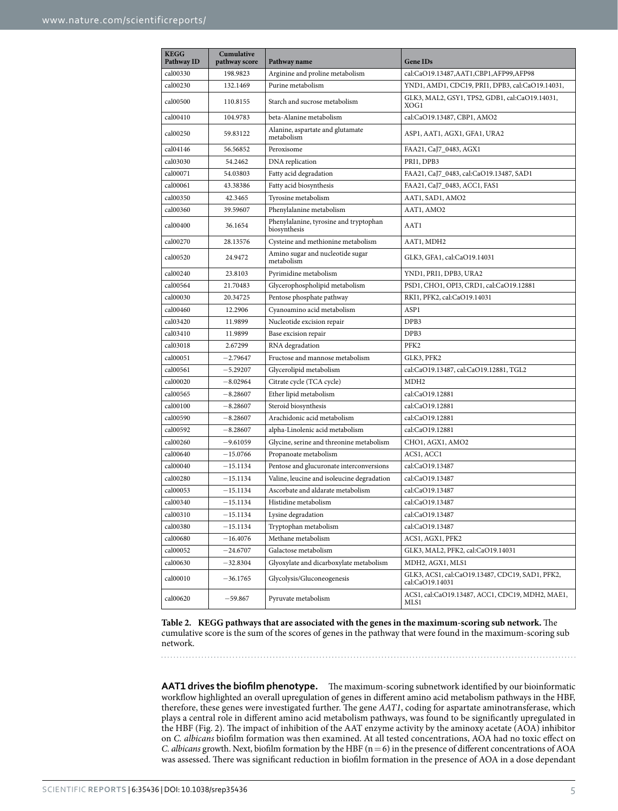<span id="page-4-0"></span>

| <b>KEGG</b><br>Pathway ID | Cumulative<br>pathway score | Pathway name                                           | <b>Gene IDs</b>                                                    |  |
|---------------------------|-----------------------------|--------------------------------------------------------|--------------------------------------------------------------------|--|
| cal00330                  | 198.9823                    | Arginine and proline metabolism                        | cal:CaO19.13487,AAT1,CBP1,AFP99,AFP98                              |  |
| cal00230                  | 132.1469                    | Purine metabolism                                      | YND1, AMD1, CDC19, PRI1, DPB3, cal:CaO19.14031,                    |  |
| cal00500                  | 110.8155                    | Starch and sucrose metabolism                          | GLK3, MAL2, GSY1, TPS2, GDB1, cal:CaO19.14031,<br>XOG1             |  |
| cal00410                  | 104.9783                    | beta-Alanine metabolism                                | cal:CaO19.13487, CBP1, AMO2                                        |  |
| cal00250                  | 59.83122                    | Alanine, aspartate and glutamate<br>metabolism         | ASP1, AAT1, AGX1, GFA1, URA2                                       |  |
| cal04146                  | 56.56852                    | Peroxisome                                             | FAA21, CaJ7_0483, AGX1                                             |  |
| cal03030                  | 54.2462                     | DNA replication                                        | PRI1, DPB3                                                         |  |
| cal00071                  | 54.03803                    | Fatty acid degradation                                 | FAA21, CaJ7_0483, cal:CaO19.13487, SAD1                            |  |
| cal00061                  | 43.38386                    | Fatty acid biosynthesis                                | FAA21, CaJ7_0483, ACC1, FAS1                                       |  |
| cal00350                  | 42.3465                     | Tyrosine metabolism                                    | AAT1, SAD1, AMO2                                                   |  |
| cal00360                  | 39.59607                    | Phenylalanine metabolism                               | AAT1, AMO2                                                         |  |
| cal00400                  | 36.1654                     | Phenylalanine, tyrosine and tryptophan<br>biosynthesis | AAT1                                                               |  |
| cal00270                  | 28.13576                    | Cysteine and methionine metabolism                     | AAT1, MDH2                                                         |  |
| cal00520                  | 24.9472                     | Amino sugar and nucleotide sugar<br>metabolism         | GLK3, GFA1, cal:CaO19.14031                                        |  |
| cal00240                  | 23.8103                     | Pyrimidine metabolism                                  | YND1, PRI1, DPB3, URA2                                             |  |
| cal00564                  | 21.70483                    | Glycerophospholipid metabolism                         | PSD1, CHO1, OPI3, CRD1, cal:CaO19.12881                            |  |
| cal00030                  | 20.34725                    | Pentose phosphate pathway                              | RKI1, PFK2, cal:CaO19.14031                                        |  |
| cal00460                  | 12.2906                     | Cyanoamino acid metabolism                             | ASP1                                                               |  |
| cal03420                  | 11.9899                     | Nucleotide excision repair                             | DPB3                                                               |  |
| cal03410                  | 11.9899                     | Base excision repair                                   | DPB3                                                               |  |
| cal03018                  | 2.67299                     | RNA degradation                                        | PFK2                                                               |  |
| cal00051                  | $-2.79647$                  | Fructose and mannose metabolism                        | GLK3, PFK2                                                         |  |
| cal00561                  | –5.29207                    | Glycerolipid metabolism                                | cal:CaO19.13487, cal:CaO19.12881, TGL2                             |  |
| cal00020                  | $^{-8.02964}$               | Citrate cycle (TCA cycle)                              | MDH <sub>2</sub>                                                   |  |
| cal00565                  | $-8.28607$                  | Ether lipid metabolism                                 | cal:CaO19.12881                                                    |  |
| cal00100                  | $-8.28607$                  | Steroid biosynthesis                                   | cal:CaO19.12881                                                    |  |
| cal00590                  | $^{-8.28607}$               | Arachidonic acid metabolism                            | cal:CaO19.12881                                                    |  |
| cal00592                  | $^{-8.28607}$               | alpha-Linolenic acid metabolism                        | cal:CaO19.12881                                                    |  |
| cal00260                  | –9.61059                    | Glycine, serine and threonine metabolism               | CHO1, AGX1, AMO2                                                   |  |
| cal00640                  | $-15.0766$                  | Propanoate metabolism                                  | ACS1, ACC1                                                         |  |
| cal00040                  | –15.1134                    | Pentose and glucuronate interconversions               | cal:CaO19.13487                                                    |  |
| cal00280                  | $-15.1134$                  | Valine, leucine and isoleucine degradation             | cal:CaO19.13487                                                    |  |
| cal00053                  | $-15.1134$                  | Ascorbate and aldarate metabolism                      | cal:CaO19.13487                                                    |  |
| cal00340                  | $-15.1134$                  | Histidine metabolism                                   | cal:CaO19.13487                                                    |  |
| cal00310                  | –15.1134                    | Lysine degradation                                     | cal:CaO19.13487                                                    |  |
| cal00380                  | $-15.1134$                  | Tryptophan metabolism                                  | cal:CaO19.13487                                                    |  |
| cal00680                  | $-16.4076$                  | Methane metabolism                                     | ACS1, AGX1, PFK2                                                   |  |
| cal00052                  | $-24.6707$                  | Galactose metabolism                                   | GLK3, MAL2, PFK2, cal:CaO19.14031                                  |  |
| cal00630                  | -32.8304                    | Glyoxylate and dicarboxylate metabolism                | MDH2, AGX1, MLS1                                                   |  |
| cal00010                  | $-36.1765$                  | Glycolysis/Gluconeogenesis                             | GLK3, ACS1, cal:CaO19.13487, CDC19, SAD1, PFK2,<br>cal:CaO19.14031 |  |
| cal00620                  | $-59.867$                   | Pyruvate metabolism                                    | ACS1, cal:CaO19.13487, ACC1, CDC19, MDH2, MAE1,<br>MLS1            |  |

**Table 2. KEGG pathways that are associated with the genes in the maximum-scoring sub network.** The cumulative score is the sum of the scores of genes in the pathway that were found in the maximum-scoring sub network.

**AAT1 drives the biofilm phenotype.** The maximum-scoring subnetwork identified by our bioinformatic workflow highlighted an overall upregulation of genes in different amino acid metabolism pathways in the HBF, therefore, these genes were investigated further. The gene *AAT1*, coding for aspartate aminotransferase, which plays a central role in different amino acid metabolism pathways, was found to be significantly upregulated in the HBF [\(Fig. 2](#page-3-0)). The impact of inhibition of the AAT enzyme activity by the aminoxy acetate (AOA) inhibitor on *C. albicans* biofilm formation was then examined. At all tested concentrations, AOA had no toxic effect on *C. albicans* growth. Next, biofilm formation by the HBF (n = 6) in the presence of different concentrations of AOA was assessed. There was significant reduction in biofilm formation in the presence of AOA in a dose dependant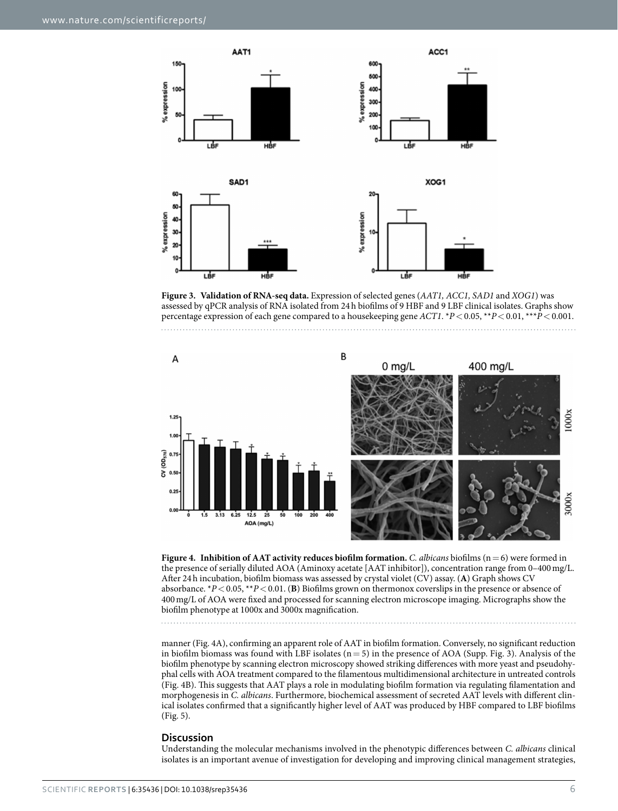

<span id="page-5-0"></span>**Figure 3. Validation of RNA-seq data.** Expression of selected genes (*AAT1, ACC1, SAD1* and *XOG1*) was assessed by qPCR analysis of RNA isolated from 24h biofilms of 9 HBF and 9 LBF clinical isolates. Graphs show percentage expression of each gene compared to a housekeeping gene *ACT1*. \**P*<0.05, \*\**P*<0.01, \*\*\**P*<0.001.



<span id="page-5-1"></span>**Figure 4. Inhibition of AAT activity reduces biofilm formation.** *C. albicans* biofilms (n=6) were formed in the presence of serially diluted AOA (Aminoxy acetate [AAT inhibitor]), concentration range from 0–400mg/L. After 24h incubation, biofilm biomass was assessed by crystal violet (CV) assay. (**A**) Graph shows CV absorbance. \**P*<0.05, \*\**P*<0.01. (**B**) Biofilms grown on thermonox coverslips in the presence or absence of 400mg/L of AOA were fixed and processed for scanning electron microscope imaging. Micrographs show the biofilm phenotype at 1000x and 3000x magnification.

manner ([Fig. 4A](#page-5-1)), confirming an apparent role of AAT in biofilm formation. Conversely, no significant reduction in biofilm biomass was found with LBF isolates ( $n=5$ ) in the presence of AOA (Supp. Fig. 3). Analysis of the biofilm phenotype by scanning electron microscopy showed striking differences with more yeast and pseudohyphal cells with AOA treatment compared to the filamentous multidimensional architecture in untreated controls ([Fig. 4B](#page-5-1)). This suggests that AAT plays a role in modulating biofilm formation via regulating filamentation and morphogenesis in *C. albicans*. Furthermore, biochemical assessment of secreted AAT levels with different clinical isolates confirmed that a significantly higher level of AAT was produced by HBF compared to LBF biofilms ([Fig. 5](#page-6-0)).

#### **Discussion**

Understanding the molecular mechanisms involved in the phenotypic differences between *C. albicans* clinical isolates is an important avenue of investigation for developing and improving clinical management strategies,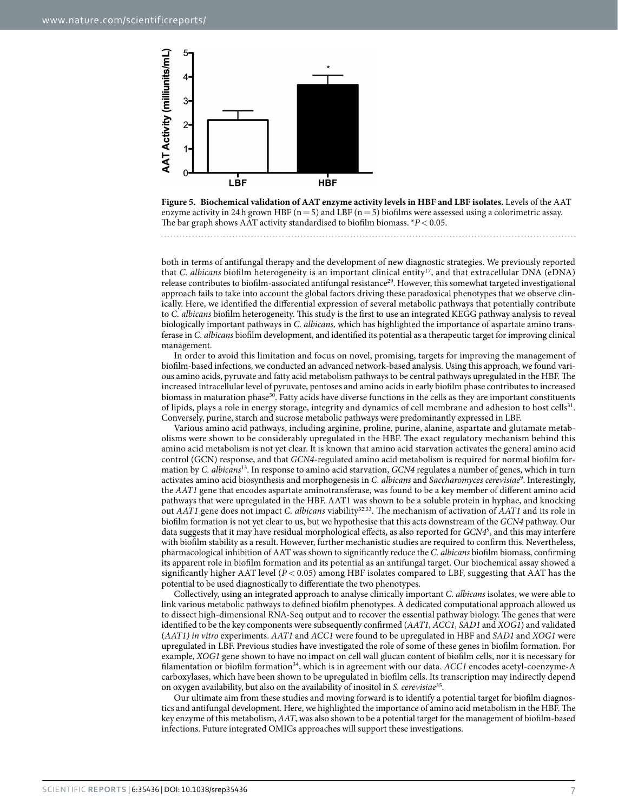

<span id="page-6-0"></span>

both in terms of antifungal therapy and the development of new diagnostic strategies. We previously reported that *C. albicans* biofilm heterogeneity is an important clinical entity[17](#page-9-6), and that extracellular DNA (eDNA) release contributes to biofilm-associated antifungal resistance<sup>29</sup>. However, this somewhat targeted investigational approach fails to take into account the global factors driving these paradoxical phenotypes that we observe clinically. Here, we identified the differential expression of several metabolic pathways that potentially contribute to *C. albicans* biofilm heterogeneity. This study is the first to use an integrated KEGG pathway analysis to reveal biologically important pathways in *C. albicans,* which has highlighted the importance of aspartate amino transferase in *C. albicans* biofilm development, and identified its potential as a therapeutic target for improving clinical management.

In order to avoid this limitation and focus on novel, promising, targets for improving the management of biofilm-based infections, we conducted an advanced network-based analysis. Using this approach, we found various amino acids, pyruvate and fatty acid metabolism pathways to be central pathways upregulated in the HBF. The increased intracellular level of pyruvate, pentoses and amino acids in early biofilm phase contributes to increased biomass in maturation phase<sup>30</sup>. Fatty acids have diverse functions in the cells as they are important constituents of lipids, plays a role in energy storage, integrity and dynamics of cell membrane and adhesion to host cells<sup>31</sup>. Conversely, purine, starch and sucrose metabolic pathways were predominantly expressed in LBF.

Various amino acid pathways, including arginine, proline, purine, alanine, aspartate and glutamate metabolisms were shown to be considerably upregulated in the HBF. The exact regulatory mechanism behind this amino acid metabolism is not yet clear. It is known that amino acid starvation activates the general amino acid control (GCN) response, and that *GCN4*-regulated amino acid metabolism is required for normal biofilm formation by *C. albicans*[13](#page-9-2). In response to amino acid starvation, *GCN4* regulates a number of genes, which in turn activates amino acid biosynthesis and morphogenesis in *C. albicans* and *Saccharomyces cerevisiae*[9](#page-8-6) . Interestingly, the *AAT1* gene that encodes aspartate aminotransferase, was found to be a key member of different amino acid pathways that were upregulated in the HBF. AAT1 was shown to be a soluble protein in hyphae, and knocking out *AAT1* gene does not impact *C. albicans* viabilit[y32](#page-9-21),[33](#page-9-22). The mechanism of activation of *AAT1* and its role in biofilm formation is not yet clear to us, but we hypothesise that this acts downstream of the *GCN4* pathway. Our data suggests that it may have residual morphological effects, as also reported for *GCN4*[9](#page-8-6) , and this may interfere with biofilm stability as a result. However, further mechanistic studies are required to confirm this. Nevertheless, pharmacological inhibition of AAT was shown to significantly reduce the *C. albicans* biofilm biomass, confirming its apparent role in biofilm formation and its potential as an antifungal target. Our biochemical assay showed a significantly higher AAT level ( $P < 0.05$ ) among HBF isolates compared to LBF, suggesting that AAT has the potential to be used diagnostically to differentiate the two phenotypes.

Collectively, using an integrated approach to analyse clinically important *C. albicans* isolates, we were able to link various metabolic pathways to defined biofilm phenotypes. A dedicated computational approach allowed us to dissect high-dimensional RNA-Seq output and to recover the essential pathway biology. The genes that were identified to be the key components were subsequently confirmed (*AAT1, ACC1, SAD1* and *XOG1*) and validated (*AAT1) in vitro* experiments. *AAT1* and *ACC1* were found to be upregulated in HBF and *SAD1* and *XOG1* were upregulated in LBF. Previous studies have investigated the role of some of these genes in biofilm formation. For example, *XOG1* gene shown to have no impact on cell wall glucan content of biofilm cells, nor it is necessary for filamentation or biofilm formatio[n34,](#page-9-23) which is in agreement with our data. *ACC1* encodes acetyl-coenzyme-A carboxylases, which have been shown to be upregulated in biofilm cells. Its transcription may indirectly depend on oxygen availability, but also on the availability of inositol in *S. cerevisiae*[35.](#page-9-24)

Our ultimate aim from these studies and moving forward is to identify a potential target for biofilm diagnostics and antifungal development. Here, we highlighted the importance of amino acid metabolism in the HBF. The key enzyme of this metabolism, *AAT*, was also shown to be a potential target for the management of biofilm-based infections. Future integrated OMICs approaches will support these investigations.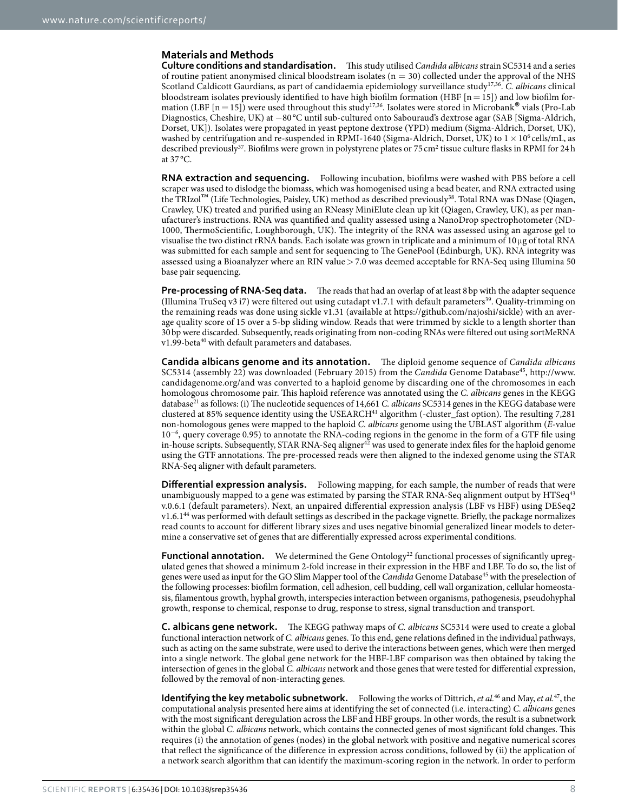### **Materials and Methods**

**Culture conditions and standardisation.** This study utilised *Candida albicans* strain SC5314 and a series of routine patient anonymised clinical bloodstream isolates ( $n = 30$ ) collected under the approval of the NHS Scotland Caldicott Gaurdians, as part of candidaemia epidemiology surveillance study[17,](#page-9-6)[36.](#page-9-25) *C. albicans* clinical bloodstream isolates previously identified to have high biofilm formation (HBF  $[n = 15]$ ) and low biofilm formation (LBF  $[n=15]$ ) were used throughout this study<sup>[17,](#page-9-6)36</sup>. Isolates were stored in Microbank® vials (Pro-Lab Diagnostics, Cheshire, UK) at −80 °C until sub-cultured onto Sabouraud's dextrose agar (SAB [Sigma-Aldrich, Dorset, UK]). Isolates were propagated in yeast peptone dextrose (YPD) medium (Sigma-Aldrich, Dorset, UK), washed by centrifugation and re-suspended in RPMI-1640 (Sigma-Aldrich, Dorset, UK) to  $1 \times 10^6$  cells/mL, as described previously<sup>37</sup>. Biofilms were grown in polystyrene plates or 75 cm<sup>2</sup> tissue culture flasks in RPMI for 24 h at 37 °C.

**RNA extraction and sequencing.** Following incubation, biofilms were washed with PBS before a cell scraper was used to dislodge the biomass, which was homogenised using a bead beater, and RNA extracted using the TRIzol™ (Life Technologies, Paisley, UK) method as described previousl[y38.](#page-9-27) Total RNA was DNase (Qiagen, Crawley, UK) treated and purified using an RNeasy MiniElute clean up kit (Qiagen, Crawley, UK), as per manufacturer's instructions. RNA was quantified and quality assessed using a NanoDrop spectrophotometer (ND-1000, ThermoScientific, Loughborough, UK). The integrity of the RNA was assessed using an agarose gel to visualise the two distinct rRNA bands. Each isolate was grown in triplicate and a minimum of 10μg of total RNA was submitted for each sample and sent for sequencing to The GenePool (Edinburgh, UK). RNA integrity was assessed using a Bioanalyzer where an RIN value > 7.0 was deemed acceptable for RNA-Seq using Illumina 50 base pair sequencing.

**Pre-processing of RNA-Seq data.** The reads that had an overlap of at least 8 bp with the adapter sequence (Illumina TruSeq v3 i7) were filtered out using cutadapt v1.7.1 with default parameters[39](#page-9-28). Quality-trimming on the remaining reads was done using sickle v1.31 (available at <https://github.com/najoshi/sickle>) with an average quality score of 15 over a 5-bp sliding window. Reads that were trimmed by sickle to a length shorter than 30bp were discarded. Subsequently, reads originating from non-coding RNAs were filtered out using sortMeRNA v1.99-beta<sup>40</sup> with default parameters and databases.

**Candida albicans genome and its annotation.** The diploid genome sequence of *Candida albicans* SC5314 (assembly 22) was downloaded (February 2015) from the *Candida* Genome Database<sup>[45](#page-9-30)</sup>, [http://www.](http://www.candidagenome.org/) [candidagenome.org/a](http://www.candidagenome.org/)nd was converted to a haploid genome by discarding one of the chromosomes in each homologous chromosome pair. This haploid reference was annotated using the *C. albicans* genes in the KEGG database<sup>21</sup> as follows: (i) The nucleotide sequences of 14,661 *C. albicans* SC5314 genes in the KEGG database were clustered at 85% sequence identity using the USEARCH<sup>41</sup> algorithm (-cluster\_fast option). The resulting 7,281 non-homologous genes were mapped to the haploid *C. albicans* genome using the UBLAST algorithm (*E*-value 10<sup>−</sup><sup>6</sup> , query coverage 0.95) to annotate the RNA-coding regions in the genome in the form of a GTF file using in-house scripts. Subsequently, STAR RNA-Seq aligner<sup>42</sup> was used to generate index files for the haploid genome using the GTF annotations. The pre-processed reads were then aligned to the indexed genome using the STAR RNA-Seq aligner with default parameters.

**Differential expression analysis.** Following mapping, for each sample, the number of reads that were unambiguously mapped to a gene was estimated by parsing the STAR RNA-Seq alignment output by HTSeq<sup>[43](#page-9-33)</sup> v.0.6.1 (default parameters). Next, an unpaired differential expression analysis (LBF vs HBF) using DESeq2 v1.6.1[44](#page-9-34) was performed with default settings as described in the package vignette. Briefly, the package normalizes read counts to account for different library sizes and uses negative binomial generalized linear models to determine a conservative set of genes that are differentially expressed across experimental conditions.

**Functional annotation.** We determined the Gene Ontology<sup>22</sup> functional processes of significantly upregulated genes that showed a minimum 2-fold increase in their expression in the HBF and LBF. To do so, the list of genes were used as input for the GO Slim Mapper tool of the *Candida* Genome Database<sup>45</sup> with the preselection of the following processes: biofilm formation, cell adhesion, cell budding, cell wall organization, cellular homeostasis, filamentous growth, hyphal growth, interspecies interaction between organisms, pathogenesis, pseudohyphal growth, response to chemical, response to drug, response to stress, signal transduction and transport.

**C. albicans gene network.** The KEGG pathway maps of *C. albicans* SC5314 were used to create a global functional interaction network of *C. albicans* genes. To this end, gene relations defined in the individual pathways, such as acting on the same substrate, were used to derive the interactions between genes, which were then merged into a single network. The global gene network for the HBF-LBF comparison was then obtained by taking the intersection of genes in the global *C. albicans* network and those genes that were tested for differential expression, followed by the removal of non-interacting genes.

**Identifying the key metabolic subnetwork.** Following the works of Dittrich, *et al.*<sup>46</sup> and May, *et al.*<sup>47</sup>, the computational analysis presented here aims at identifying the set of connected (i.e. interacting) *C. albicans* genes with the most significant deregulation across the LBF and HBF groups. In other words, the result is a subnetwork within the global *C. albicans* network, which contains the connected genes of most significant fold changes. This requires (i) the annotation of genes (nodes) in the global network with positive and negative numerical scores that reflect the significance of the difference in expression across conditions, followed by (ii) the application of a network search algorithm that can identify the maximum-scoring region in the network. In order to perform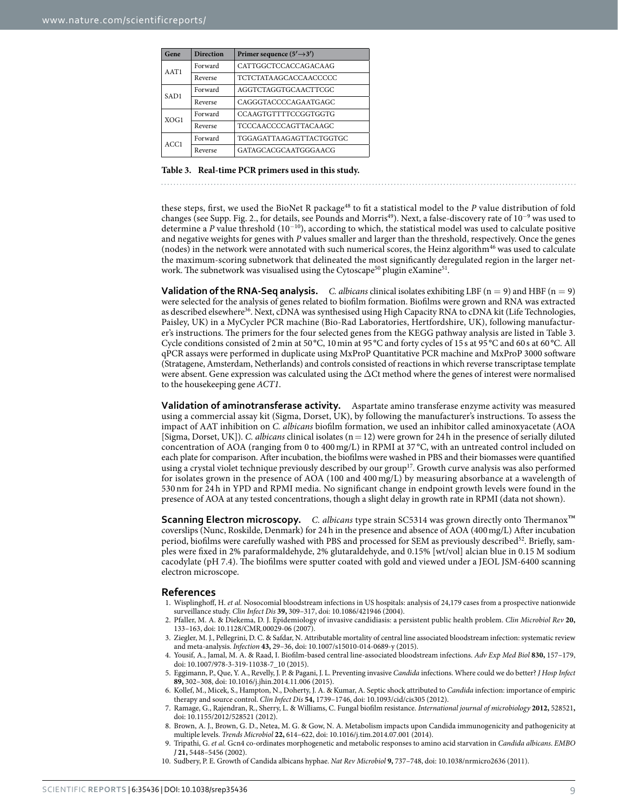<span id="page-8-7"></span>

| Gene             | <b>Direction</b> | Primer sequence $(5' \rightarrow 3')$ |  |  |
|------------------|------------------|---------------------------------------|--|--|
| AAT1             | Forward          | CATTGGCTCCACCAGACAAG                  |  |  |
|                  | Reverse          | <b>TCTCTATAAGCACCAACCCCC</b>          |  |  |
| SAD <sub>1</sub> | Forward          | AGGTCTAGGTGCAACTTCGC                  |  |  |
|                  | Reverse          | CAGGGTACCCCAGAATGAGC                  |  |  |
| XOG1             | Forward          | <b>CCAAGTGTTTTCCGGTGGTG</b>           |  |  |
|                  | Reverse          | TCCCAACCCCAGTTACAAGC                  |  |  |
| ACC1             | Forward          | TGGAGATTAAGAGTTACTGGTGC               |  |  |
|                  | Reverse          | GATAGCACGCA ATGGGA ACG                |  |  |

#### **Table 3. Real-time PCR primers used in this study.**

these steps, first, we used the BioNet R package<sup>48</sup> to fit a statistical model to the *P* value distribution of fold changes (see Supp. Fig. 2., for details, see Pounds and Morris<sup>[49](#page-9-38)</sup>). Next, a false-discovery rate of 10<sup>-9</sup> was used to determine a *P* value threshold (10<sup>−</sup>10), according to which, the statistical model was used to calculate positive and negative weights for genes with *P* values smaller and larger than the threshold, respectively. Once the genes (nodes) in the network were annotated with such numerical scores, the Heinz algorithm<sup>46</sup> was used to calculate the maximum-scoring subnetwork that delineated the most significantly deregulated region in the larger net-work. The subnetwork was visualised using the Cytoscape<sup>50</sup> plugin eXamine<sup>[51](#page-10-0)</sup>.

**Validation of the RNA-Seq analysis.** *C. albicans* clinical isolates exhibiting LBF ( $n = 9$ ) and HBF ( $n = 9$ ) were selected for the analysis of genes related to biofilm formation. Biofilms were grown and RNA was extracted as described elsewhere<sup>[36](#page-9-25)</sup>. Next, cDNA was synthesised using High Capacity RNA to cDNA kit (Life Technologies, Paisley, UK) in a MyCycler PCR machine (Bio-Rad Laboratories, Hertfordshire, UK), following manufacturer's instructions. The primers for the four selected genes from the KEGG pathway analysis are listed in [Table 3.](#page-8-7) Cycle conditions consisted of 2 min at 50 °C, 10 min at 95 °C and forty cycles of 15 s at 95 °C and 60 s at 60 °C. All qPCR assays were performed in duplicate using MxProP Quantitative PCR machine and MxProP 3000 software (Stratagene, Amsterdam, Netherlands) and controls consisted of reactions in which reverse transcriptase template were absent. Gene expression was calculated using the ΔCt method where the genes of interest were normalised to the housekeeping gene *ACT1*.

**Validation of aminotransferase activity.** Aspartate amino transferase enzyme activity was measured using a commercial assay kit (Sigma, Dorset, UK), by following the manufacturer's instructions. To assess the impact of AAT inhibition on *C. albicans* biofilm formation, we used an inhibitor called aminoxyacetate (AOA [Sigma, Dorset, UK]). *C. albicans* clinical isolates (n=12) were grown for 24h in the presence of serially diluted concentration of AOA (ranging from 0 to 400 mg/L) in RPMI at 37 °C, with an untreated control included on each plate for comparison. After incubation, the biofilms were washed in PBS and their biomasses were quantified using a crystal violet technique previously described by our group<sup>17</sup>. Growth curve analysis was also performed for isolates grown in the presence of AOA (100 and 400 mg/L) by measuring absorbance at a wavelength of 530 nm for 24 h in YPD and RPMI media. No significant change in endpoint growth levels were found in the presence of AOA at any tested concentrations, though a slight delay in growth rate in RPMI (data not shown).

**Scanning Electron microscopy.** *C. albicans* type strain SC5314 was grown directly onto Thermanox™ coverslips (Nunc, Roskilde, Denmark) for 24h in the presence and absence of AOA (400mg/L) After incubation period, biofilms were carefully washed with PBS and processed for SEM as previously described<sup>[52](#page-10-1)</sup>. Briefly, samples were fixed in 2% paraformaldehyde, 2% glutaraldehyde, and 0.15% [wt/vol] alcian blue in 0.15 M sodium cacodylate (pH 7.4). The biofilms were sputter coated with gold and viewed under a JEOL JSM-6400 scanning electron microscope.

#### **References**

- <span id="page-8-0"></span>1. Wisplinghoff, H. *et al.* Nosocomial bloodstream infections in US hospitals: analysis of 24,179 cases from a prospective nationwide surveillance study. *Clin Infect Dis* **39,** 309–317, doi: 10.1086/421946 (2004).
- <span id="page-8-1"></span>2. Pfaller, M. A. & Diekema, D. J. Epidemiology of invasive candidiasis: a persistent public health problem. *Clin Microbiol Rev* **20,** 133–163, doi: 10.1128/CMR.00029-06 (2007).
- <span id="page-8-2"></span>3. Ziegler, M. J., Pellegrini, D. C. & Safdar, N. Attributable mortality of central line associated bloodstream infection: systematic review and meta-analysis. *Infection* **43,** 29–36, doi: 10.1007/s15010-014-0689-y (2015).
- 4. Yousif, A., Jamal, M. A. & Raad, I. Biofilm-based central line-associated bloodstream infections. *Adv Exp Med Biol* **830,** 157–179, doi: 10.1007/978-3-319-11038-7\_10 (2015).
- 5. Eggimann, P., Que, Y. A., Revelly, J. P. & Pagani, J. L. Preventing invasive *Candida* infections. Where could we do better? *J Hosp Infect* **89,** 302–308, doi: 10.1016/j.jhin.2014.11.006 (2015).
- <span id="page-8-3"></span>6. Kollef, M., Micek, S., Hampton, N., Doherty, J. A. & Kumar, A. Septic shock attributed to *Candida* infection: importance of empiric therapy and source control. *Clin Infect Dis* **54,** 1739–1746, doi: 10.1093/cid/cis305 (2012).
- <span id="page-8-4"></span>7. Ramage, G., Rajendran, R., Sherry, L. & Williams, C. Fungal biofilm resistance. *International journal of microbiology* **2012,** 528521**,**  doi: 10.1155/2012/528521 (2012).
- <span id="page-8-5"></span>8. Brown, A. J., Brown, G. D., Netea, M. G. & Gow, N. A. Metabolism impacts upon Candida immunogenicity and pathogenicity at multiple levels. *Trends Microbiol* **22,** 614–622, doi: 10.1016/j.tim.2014.07.001 (2014).
- <span id="page-8-6"></span>9. Tripathi, G. *et al.* Gcn4 co-ordinates morphogenetic and metabolic responses to amino acid starvation in *Candida albicans*. *EMBO J* **21,** 5448–5456 (2002).
- 10. Sudbery, P. E. Growth of Candida albicans hyphae. *Nat Rev Microbiol* **9,** 737–748, doi: 10.1038/nrmicro2636 (2011).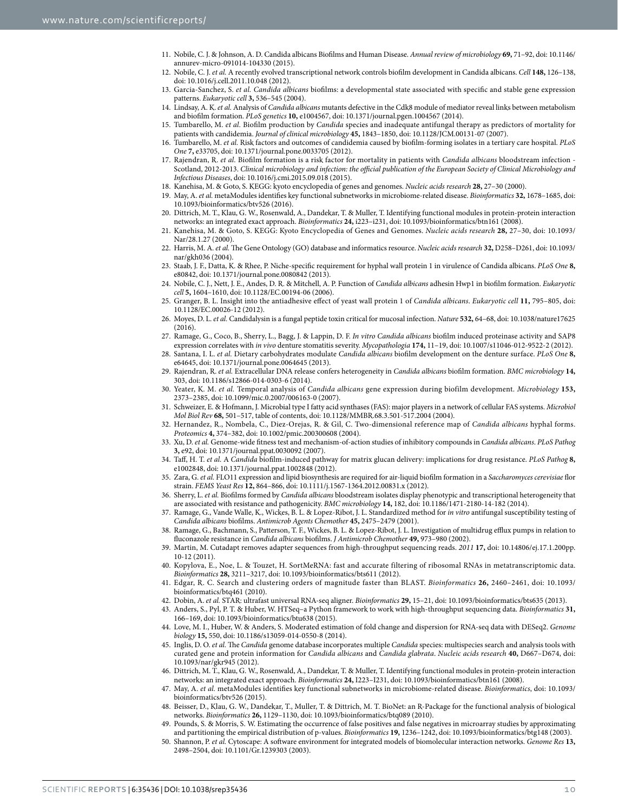- <span id="page-9-0"></span>11. Nobile, C. J. & Johnson, A. D. Candida albicans Biofilms and Human Disease. *Annual review of microbiology* **69,** 71–92, doi: 10.1146/ annurev-micro-091014-104330 (2015).
- <span id="page-9-1"></span>12. Nobile, C. J. *et al.* A recently evolved transcriptional network controls biofilm development in Candida albicans. *Cell* **148,** 126–138, doi: 10.1016/j.cell.2011.10.048 (2012).
- <span id="page-9-2"></span>13. Garcia-Sanchez, S. *et al. Candida albicans* biofilms: a developmental state associated with specific and stable gene expression patterns. *Eukaryotic cell* **3,** 536–545 (2004).
- <span id="page-9-3"></span>14. Lindsay, A. K. *et al.* Analysis of *Candida albicans* mutants defective in the Cdk8 module of mediator reveal links between metabolism and biofilm formation. *PLoS genetics* **10,** e1004567, doi: 10.1371/journal.pgen.1004567 (2014).
- <span id="page-9-4"></span>15. Tumbarello, M. *et al.* Biofilm production by *Candida* species and inadequate antifungal therapy as predictors of mortality for patients with candidemia. *Journal of clinical microbiology* **45,** 1843–1850, doi: 10.1128/JCM.00131-07 (2007).
- <span id="page-9-5"></span>16. Tumbarello, M. *et al.* Risk factors and outcomes of candidemia caused by biofilm-forming isolates in a tertiary care hospital. *PLoS One* **7,** e33705, doi: 10.1371/journal.pone.0033705 (2012).
- <span id="page-9-6"></span>17. Rajendran, R. *et al.* Biofilm formation is a risk factor for mortality in patients with *Candida albicans* bloodstream infection - Scotland, 2012-2013. *Clinical microbiology and infection: the official publication of the European Society of Clinical Microbiology and Infectious Diseases*, doi: 10.1016/j.cmi.2015.09.018 (2015).
- <span id="page-9-7"></span>18. Kanehisa, M. & Goto, S. KEGG: kyoto encyclopedia of genes and genomes. *Nucleic acids research* **28,** 27–30 (2000).
- <span id="page-9-8"></span>19. May, A. *et al.* metaModules identifies key functional subnetworks in microbiome-related disease. *Bioinformatics* **32,** 1678–1685, doi: 10.1093/bioinformatics/btv526 (2016).
- <span id="page-9-9"></span>20. Dittrich, M. T., Klau, G. W., Rosenwald, A., Dandekar, T. & Muller, T. Identifying functional modules in protein-protein interaction networks: an integrated exact approach. *Bioinformatics* **24,** i223–i231, doi: 10.1093/bioinformatics/btn161 (2008).
- <span id="page-9-10"></span>21. Kanehisa, M. & Goto, S. KEGG: Kyoto Encyclopedia of Genes and Genomes. *Nucleic acids research* **28,** 27–30, doi: 10.1093/ Nar/28.1.27 (2000).
- <span id="page-9-11"></span>22. Harris, M. A. *et al.* The Gene Ontology (GO) database and informatics resource. *Nucleic acids research* **32,** D258–D261, doi: 10.1093/ nar/gkh036 (2004).
- <span id="page-9-12"></span>23. Staab, J. F., Datta, K. & Rhee, P. Niche-specific requirement for hyphal wall protein 1 in virulence of Candida albicans. *PLoS One* **8,** e80842, doi: 10.1371/journal.pone.0080842 (2013).
- <span id="page-9-13"></span>24. Nobile, C. J., Nett, J. E., Andes, D. R. & Mitchell, A. P. Function of *Candida albicans* adhesin Hwp1 in biofilm formation. *Eukaryotic cell* **5,** 1604–1610, doi: 10.1128/EC.00194-06 (2006).
- <span id="page-9-14"></span>25. Granger, B. L. Insight into the antiadhesive effect of yeast wall protein 1 of *Candida albicans*. *Eukaryotic cell* **11,** 795–805, doi: 10.1128/EC.00026-12 (2012).
- <span id="page-9-15"></span>26. Moyes, D. L. *et al.* Candidalysin is a fungal peptide toxin critical for mucosal infection. *Nature* **532,** 64–68, doi: 10.1038/nature17625 (2016).
- <span id="page-9-16"></span>27. Ramage, G., Coco, B., Sherry, L., Bagg, J. & Lappin, D. F. *In vitro Candida albicans* biofilm induced proteinase activity and SAP8 expression correlates with *in vivo* denture stomatitis severity. *Mycopathologia* **174,** 11–19, doi: 10.1007/s11046-012-9522-2 (2012).
- <span id="page-9-17"></span>28. Santana, I. L. *et al.* Dietary carbohydrates modulate *Candida albicans* biofilm development on the denture surface. *PLoS One* **8,** e64645, doi: 10.1371/journal.pone.0064645 (2013).
- <span id="page-9-18"></span>29. Rajendran, R. *et al.* Extracellular DNA release confers heterogeneity in *Candida albicans* biofilm formation. *BMC microbiology* **14,** 303, doi: 10.1186/s12866-014-0303-6 (2014).
- <span id="page-9-19"></span>30. Yeater, K. M. *et al.* Temporal analysis of *Candida albicans* gene expression during biofilm development. *Microbiology* **153,** 2373–2385, doi: 10.1099/mic.0.2007/006163-0 (2007).
- <span id="page-9-20"></span>31. Schweizer, E. & Hofmann, J. Microbial type I fatty acid synthases (FAS): major players in a network of cellular FAS systems. *Microbiol Mol Biol Rev* **68,** 501–517, table of contents, doi: 10.1128/MMBR.68.3.501-517.2004 (2004).
- <span id="page-9-21"></span>32. Hernandez, R., Nombela, C., Diez-Orejas, R. & Gil, C. Two-dimensional reference map of *Candida albicans* hyphal forms. *Proteomics* **4,** 374–382, doi: 10.1002/pmic.200300608 (2004).
- <span id="page-9-22"></span>33. Xu, D. *et al.* Genome-wide fitness test and mechanism-of-action studies of inhibitory compounds in *Candida albicans*. *PLoS Pathog* **3,** e92, doi: 10.1371/journal.ppat.0030092 (2007).
- <span id="page-9-23"></span>34. Taff, H. T. *et al.* A *Candida* biofilm-induced pathway for matrix glucan delivery: implications for drug resistance. *PLoS Pathog* **8,** e1002848, doi: 10.1371/journal.ppat.1002848 (2012).
- <span id="page-9-24"></span>35. Zara, G. *et al.* FLO11 expression and lipid biosynthesis are required for air-liquid biofilm formation in a *Saccharomyces cerevisiae* flor strain. *FEMS Yeast Res* **12,** 864–866, doi: 10.1111/j.1567-1364.2012.00831.x (2012).
- <span id="page-9-25"></span>36. Sherry, L. *et al.* Biofilms formed by *Candida albicans* bloodstream isolates display phenotypic and transcriptional heterogeneity that are associated with resistance and pathogenicity. *BMC microbiology* **14,** 182, doi: 10.1186/1471-2180-14-182 (2014).
- <span id="page-9-26"></span>37. Ramage, G., Vande Walle, K., Wickes, B. L. & Lopez-Ribot, J. L. Standardized method for *in vitro* antifungal susceptibility testing of *Candida albicans* biofilms. *Antimicrob Agents Chemother* **45,** 2475–2479 (2001).
- <span id="page-9-27"></span>38. Ramage, G., Bachmann, S., Patterson, T. F., Wickes, B. L. & Lopez-Ribot, J. L. Investigation of multidrug efflux pumps in relation to fluconazole resistance in *Candida albicans* biofilms. *J Antimicrob Chemother* **49,** 973–980 (2002).
- <span id="page-9-28"></span>39. Martin, M. Cutadapt removes adapter sequences from high-throughput sequencing reads. *2011* **17,** doi: 10.14806/ej.17.1.200pp. 10-12 (2011).
- <span id="page-9-29"></span>40. Kopylova, E., Noe, L. & Touzet, H. SortMeRNA: fast and accurate filtering of ribosomal RNAs in metatranscriptomic data. *Bioinformatics* **28,** 3211–3217, doi: 10.1093/bioinformatics/bts611 (2012).
- <span id="page-9-31"></span>41. Edgar, R. C. Search and clustering orders of magnitude faster than BLAST. *Bioinformatics* **26,** 2460–2461, doi: 10.1093/ bioinformatics/btq461 (2010).
- <span id="page-9-32"></span>42. Dobin, A. *et al.* STAR: ultrafast universal RNA-seq aligner. *Bioinformatics* **29,** 15–21, doi: 10.1093/bioinformatics/bts635 (2013).
- <span id="page-9-33"></span>43. Anders, S., Pyl, P. T. & Huber, W. HTSeq–a Python framework to work with high-throughput sequencing data. *Bioinformatics* **31,** 166–169, doi: 10.1093/bioinformatics/btu638 (2015).
- <span id="page-9-34"></span>44. Love, M. I., Huber, W. & Anders, S. Moderated estimation of fold change and dispersion for RNA-seq data with DESeq2. *Genome biology* **15,** 550, doi: 10.1186/s13059-014-0550-8 (2014).
- <span id="page-9-30"></span>45. Inglis, D. O. *et al.* The *Candida* genome database incorporates multiple *Candida* species: multispecies search and analysis tools with curated gene and protein information for *Candida albicans* and *Candida glabrata*. *Nucleic acids research* **40,** D667–D674, doi: 10.1093/nar/gkr945 (2012).
- <span id="page-9-35"></span>46. Dittrich, M. T., Klau, G. W., Rosenwald, A., Dandekar, T. & Muller, T. Identifying functional modules in protein-protein interaction networks: an integrated exact approach. *Bioinformatics* **24,** I223–I231, doi: 10.1093/bioinformatics/btn161 (2008).
- <span id="page-9-36"></span>47. May, A. *et al.* metaModules identifies key functional subnetworks in microbiome-related disease. *Bioinformatics*, doi: 10.1093/ bioinformatics/btv526 (2015).
- <span id="page-9-37"></span>48. Beisser, D., Klau, G. W., Dandekar, T., Muller, T. & Dittrich, M. T. BioNet: an R-Package for the functional analysis of biological networks. *Bioinformatics* **26,** 1129–1130, doi: 10.1093/bioinformatics/btq089 (2010).
- <span id="page-9-38"></span>49. Pounds, S. & Morris, S. W. Estimating the occurrence of false positives and false negatives in microarray studies by approximating and partitioning the empirical distribution of p-values. *Bioinformatics* **19,** 1236–1242, doi: 10.1093/bioinformatics/btg148 (2003).
- <span id="page-9-39"></span>50. Shannon, P. *et al.* Cytoscape: A software environment for integrated models of biomolecular interaction networks. *Genome Res* **13,** 2498–2504, doi: 10.1101/Gr.1239303 (2003).